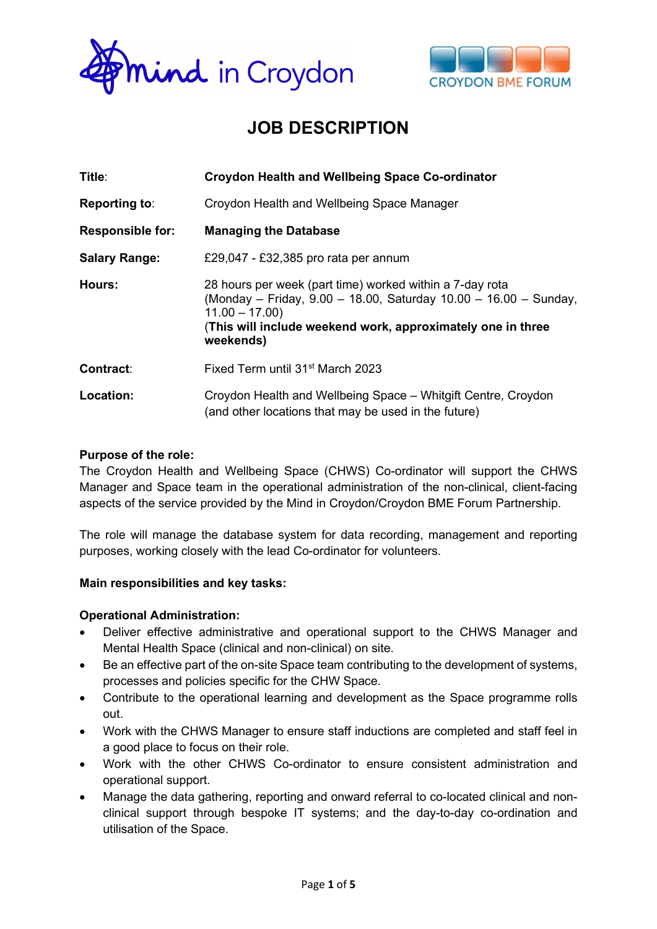



# JOB DESCRIPTION

| Title:                  | <b>Croydon Health and Wellbeing Space Co-ordinator</b>                                                                                                                                                                      |  |  |
|-------------------------|-----------------------------------------------------------------------------------------------------------------------------------------------------------------------------------------------------------------------------|--|--|
| <b>Reporting to:</b>    | Croydon Health and Wellbeing Space Manager                                                                                                                                                                                  |  |  |
| <b>Responsible for:</b> | <b>Managing the Database</b>                                                                                                                                                                                                |  |  |
| <b>Salary Range:</b>    | £29,047 - £32,385 pro rata per annum                                                                                                                                                                                        |  |  |
| Hours:                  | 28 hours per week (part time) worked within a 7-day rota<br>(Monday - Friday, 9.00 - 18.00, Saturday 10.00 - 16.00 - Sunday,<br>$11.00 - 17.00$<br>(This will include weekend work, approximately one in three<br>weekends) |  |  |
| Contract:               | Fixed Term until 31 <sup>st</sup> March 2023                                                                                                                                                                                |  |  |
| Location:               | Croydon Health and Wellbeing Space - Whitgift Centre, Croydon<br>(and other locations that may be used in the future)                                                                                                       |  |  |

### Purpose of the role:

The Croydon Health and Wellbeing Space (CHWS) Co-ordinator will support the CHWS Manager and Space team in the operational administration of the non-clinical, client-facing aspects of the service provided by the Mind in Croydon/Croydon BME Forum Partnership.

The role will manage the database system for data recording, management and reporting purposes, working closely with the lead Co-ordinator for volunteers.

# Main responsibilities and key tasks:

# Operational Administration:

- Deliver effective administrative and operational support to the CHWS Manager and Mental Health Space (clinical and non-clinical) on site.
- Be an effective part of the on-site Space team contributing to the development of systems, processes and policies specific for the CHW Space.
- Contribute to the operational learning and development as the Space programme rolls out.
- Work with the CHWS Manager to ensure staff inductions are completed and staff feel in a good place to focus on their role.
- Work with the other CHWS Co-ordinator to ensure consistent administration and operational support.
- Manage the data gathering, reporting and onward referral to co-located clinical and nonclinical support through bespoke IT systems; and the day-to-day co-ordination and utilisation of the Space.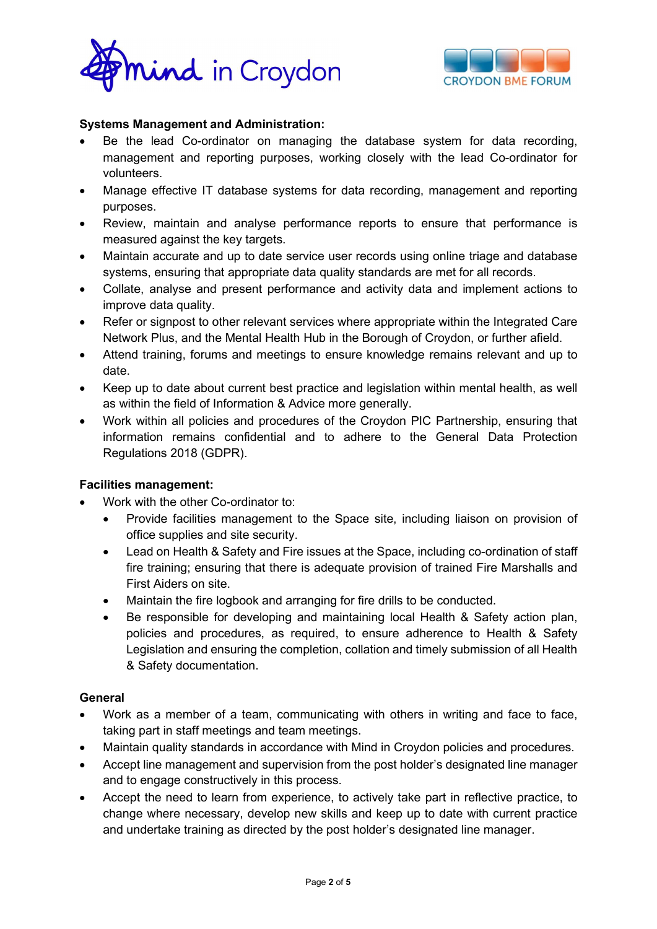



# Systems Management and Administration:

- Be the lead Co-ordinator on managing the database system for data recording, management and reporting purposes, working closely with the lead Co-ordinator for volunteers.
- Manage effective IT database systems for data recording, management and reporting purposes.
- Review, maintain and analyse performance reports to ensure that performance is measured against the key targets.
- Maintain accurate and up to date service user records using online triage and database systems, ensuring that appropriate data quality standards are met for all records.
- Collate, analyse and present performance and activity data and implement actions to improve data quality.
- Refer or signpost to other relevant services where appropriate within the Integrated Care Network Plus, and the Mental Health Hub in the Borough of Croydon, or further afield.
- Attend training, forums and meetings to ensure knowledge remains relevant and up to date.
- Keep up to date about current best practice and legislation within mental health, as well as within the field of Information & Advice more generally.
- Work within all policies and procedures of the Croydon PIC Partnership, ensuring that information remains confidential and to adhere to the General Data Protection Regulations 2018 (GDPR).

# Facilities management:

- Work with the other Co-ordinator to:
	- Provide facilities management to the Space site, including liaison on provision of office supplies and site security.
	- Lead on Health & Safety and Fire issues at the Space, including co-ordination of staff fire training; ensuring that there is adequate provision of trained Fire Marshalls and First Aiders on site.
	- Maintain the fire logbook and arranging for fire drills to be conducted.
	- Be responsible for developing and maintaining local Health & Safety action plan, policies and procedures, as required, to ensure adherence to Health & Safety Legislation and ensuring the completion, collation and timely submission of all Health & Safety documentation.

# General

- Work as a member of a team, communicating with others in writing and face to face, taking part in staff meetings and team meetings.
- Maintain quality standards in accordance with Mind in Croydon policies and procedures.
- Accept line management and supervision from the post holder's designated line manager and to engage constructively in this process.
- Accept the need to learn from experience, to actively take part in reflective practice, to change where necessary, develop new skills and keep up to date with current practice and undertake training as directed by the post holder's designated line manager.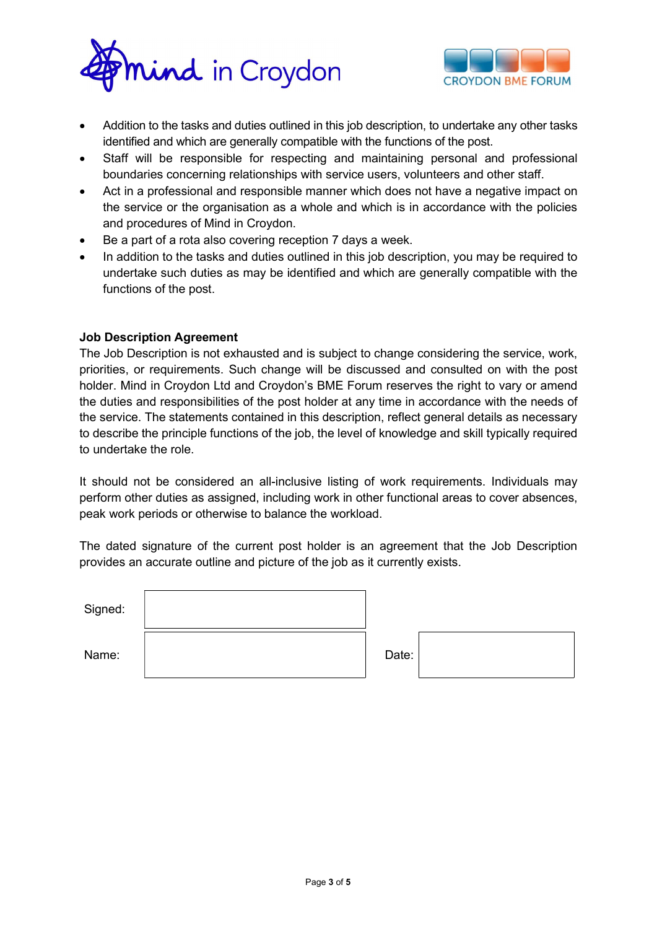



- Addition to the tasks and duties outlined in this job description, to undertake any other tasks identified and which are generally compatible with the functions of the post.
- Staff will be responsible for respecting and maintaining personal and professional boundaries concerning relationships with service users, volunteers and other staff.
- Act in a professional and responsible manner which does not have a negative impact on the service or the organisation as a whole and which is in accordance with the policies and procedures of Mind in Croydon.
- Be a part of a rota also covering reception 7 days a week.
- In addition to the tasks and duties outlined in this job description, you may be required to undertake such duties as may be identified and which are generally compatible with the functions of the post.

### Job Description Agreement

The Job Description is not exhausted and is subject to change considering the service, work, priorities, or requirements. Such change will be discussed and consulted on with the post holder. Mind in Croydon Ltd and Croydon's BME Forum reserves the right to vary or amend the duties and responsibilities of the post holder at any time in accordance with the needs of the service. The statements contained in this description, reflect general details as necessary to describe the principle functions of the job, the level of knowledge and skill typically required to undertake the role.

It should not be considered an all-inclusive listing of work requirements. Individuals may perform other duties as assigned, including work in other functional areas to cover absences, peak work periods or otherwise to balance the workload.

The dated signature of the current post holder is an agreement that the Job Description provides an accurate outline and picture of the job as it currently exists.

| Signed: |       |  |
|---------|-------|--|
| Name:   | Date: |  |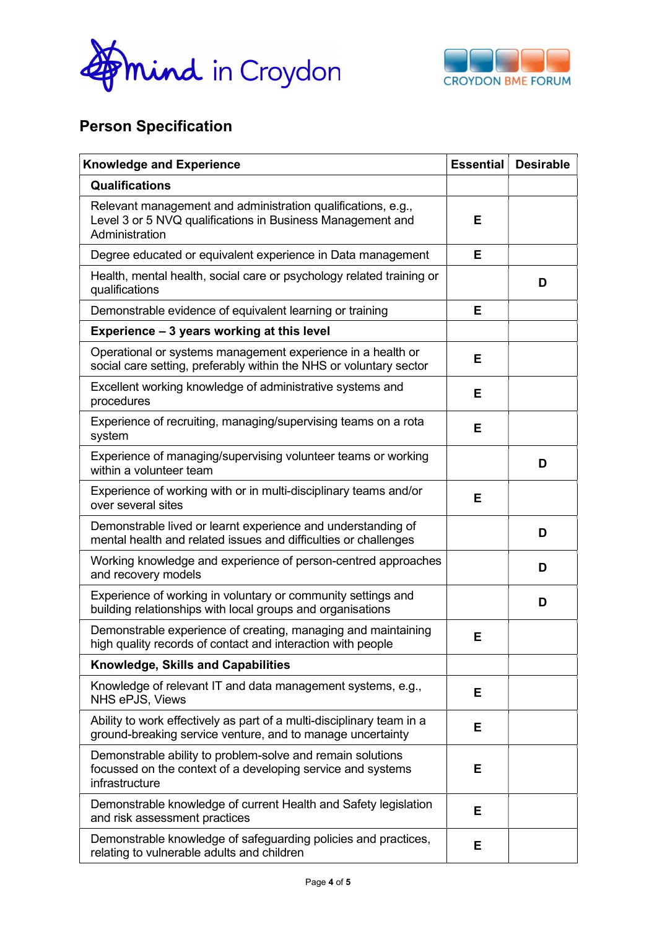



# Person Specification

| <b>Knowledge and Experience</b>                                                                                                              |   | <b>Desirable</b> |
|----------------------------------------------------------------------------------------------------------------------------------------------|---|------------------|
| <b>Qualifications</b>                                                                                                                        |   |                  |
| Relevant management and administration qualifications, e.g.,<br>Level 3 or 5 NVQ qualifications in Business Management and<br>Administration | Е |                  |
| Degree educated or equivalent experience in Data management                                                                                  | Е |                  |
| Health, mental health, social care or psychology related training or<br>qualifications                                                       |   | D                |
| Demonstrable evidence of equivalent learning or training                                                                                     | Е |                  |
| Experience - 3 years working at this level                                                                                                   |   |                  |
| Operational or systems management experience in a health or<br>social care setting, preferably within the NHS or voluntary sector            | Е |                  |
| Excellent working knowledge of administrative systems and<br>procedures                                                                      | Е |                  |
| Experience of recruiting, managing/supervising teams on a rota<br>system                                                                     | Е |                  |
| Experience of managing/supervising volunteer teams or working<br>within a volunteer team                                                     |   | D                |
| Experience of working with or in multi-disciplinary teams and/or<br>over several sites                                                       | Е |                  |
| Demonstrable lived or learnt experience and understanding of<br>mental health and related issues and difficulties or challenges              |   | D                |
| Working knowledge and experience of person-centred approaches<br>and recovery models                                                         |   | D                |
| Experience of working in voluntary or community settings and<br>building relationships with local groups and organisations                   |   | D                |
| Demonstrable experience of creating, managing and maintaining<br>high quality records of contact and interaction with people                 | E |                  |
| Knowledge, Skills and Capabilities                                                                                                           |   |                  |
| Knowledge of relevant IT and data management systems, e.g.,<br>NHS ePJS, Views                                                               | Е |                  |
| Ability to work effectively as part of a multi-disciplinary team in a<br>ground-breaking service venture, and to manage uncertainty          | E |                  |
| Demonstrable ability to problem-solve and remain solutions<br>focussed on the context of a developing service and systems<br>infrastructure  | Е |                  |
| Demonstrable knowledge of current Health and Safety legislation<br>and risk assessment practices                                             | Е |                  |
| Demonstrable knowledge of safeguarding policies and practices,<br>relating to vulnerable adults and children                                 | Е |                  |